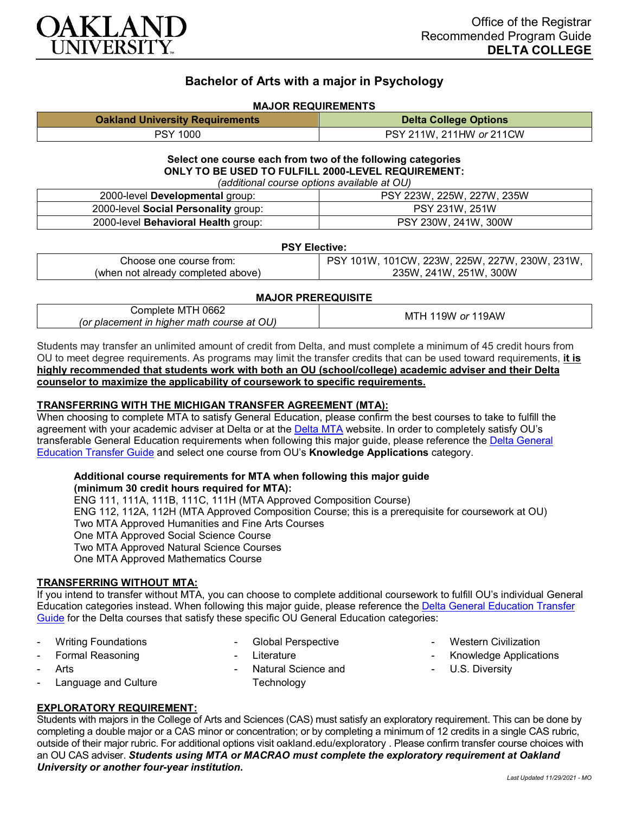

# **Bachelor of Arts with a major in Psychology**

## **MAJOR REQUIREMENTS**

| <b>Oakland University Requirements</b> | <b>Delta College Options</b> |
|----------------------------------------|------------------------------|
| <b>PSY 1000</b>                        | PSY 211W, 211HW or 211CW     |

#### **Select one course each from two of the following categories ONLY TO BE USED TO FULFILL 2000-LEVEL REQUIREMENT:** *(additional course options available at OU)*

| raggiuonai codrec optione avaliable at OOT |                            |  |
|--------------------------------------------|----------------------------|--|
| 2000-level Developmental group:            | PSY 223W, 225W, 227W, 235W |  |
| 2000-level Social Personality group:       | PSY 231W, 251W             |  |
| 2000-level Behavioral Health group:        | PSY 230W, 241W, 300W       |  |

#### **PSY Elective:**

| Choose one course from:            | PSY 101W, 101CW, 223W, 225W, 227W, 230W, 231W, |
|------------------------------------|------------------------------------------------|
| (when not already completed above) | 235W, 241W, 251W, 300W                         |

### **MAJOR PREREQUISITE**

| 0662                                       | 19W        |
|--------------------------------------------|------------|
| Complete MIH'                              | ' or 119AW |
| (or placement in higher math course at OU) | MI         |

Students may transfer an unlimited amount of credit from Delta, and must complete a minimum of 45 credit hours from OU to meet degree requirements. As programs may limit the transfer credits that can be used toward requirements, **it is highly recommended that students work with both an OU (school/college) academic adviser and their Delta counselor to maximize the applicability of coursework to specific requirements.**

### **TRANSFERRING WITH THE MICHIGAN TRANSFER AGREEMENT (MTA):**

When choosing to complete MTA to satisfy General Education, please confirm the best courses to take to fulfill the agreement with your academic adviser at Delta or at the [Delta MTA](http://catalog.delta.edu/content.php?catoid=10&navoid=1320&hl=MTA&returnto=search) website. In order to completely satisfy OU's transferable General Education requirements when following this major guide, please reference the Delta General [Education Transfer Guide](https://www.oakland.edu/Assets/Oakland/program-guides/delta-college/university-general-education-requirements/Delta%20Gen%20Ed.pdf) and select one course from OU's **Knowledge Applications** category.

#### **Additional course requirements for MTA when following this major guide (minimum 30 credit hours required for MTA):**

ENG 111, 111A, 111B, 111C, 111H (MTA Approved Composition Course) ENG 112, 112A, 112H (MTA Approved Composition Course; this is a prerequisite for coursework at OU) Two MTA Approved Humanities and Fine Arts Courses One MTA Approved Social Science Course Two MTA Approved Natural Science Courses One MTA Approved Mathematics Course

### **TRANSFERRING WITHOUT MTA:**

If you intend to transfer without MTA, you can choose to complete additional coursework to fulfill OU's individual General Education categories instead. When following this major guide, please reference the [Delta General Education Transfer](https://www.oakland.edu/Assets/Oakland/program-guides/delta-college/university-general-education-requirements/Delta%20Gen%20Ed.pdf)  [Guide](https://www.oakland.edu/Assets/Oakland/program-guides/delta-college/university-general-education-requirements/Delta%20Gen%20Ed.pdf) for the Delta courses that satisfy these specific OU General Education categories:

- Writing Foundations
- Global Perspective
- Formal Reasoning
- **Arts**
- Language and Culture
- 
- **Literature**
- Natural Science and **Technology**
- **Western Civilization**
- Knowledge Applications
- U.S. Diversity

# **EXPLORATORY REQUIREMENT:**

Students with majors in the College of Arts and Sciences (CAS) must satisfy an exploratory requirement. This can be done by completing a double major or a CAS minor or concentration; or by completing a minimum of 12 credits in a single CAS rubric, outside of their major rubric. For additional options visit [oakland.edu/exploratory](http://www.oakland.edu/exploratory) . Please confirm transfer course choices with an OU CAS adviser. *Students using MTA or MACRAO must complete the exploratory requirement at Oakland University or another four-year institution.*